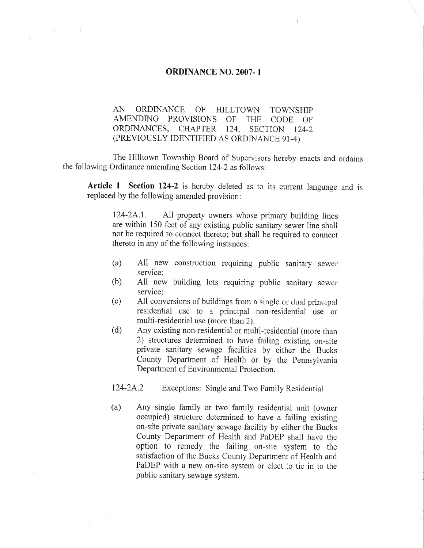## ORDINANCE N0. 2007-1

AN ORDINANCE OF HILLTOWN TOWNSHIP AMENDING PROVISIONS OF THE CODE OF ORDINANCES, CHAPTER 124, SECTION 124-2 (PREVIOUSLY IDENTIFIED AS ORDINANCE 91-4)

The Hilltown Township Board of Supervisors hereby enacts and ordains the following Ordinance amending Section 124-2 as follows:

Article 1 Section 124-2 is hereby deleted as to its current language and is replaced by the following amended provision:

124-2A.1. All property owners whose primary building lines are within 150 feet of any existing public samtary sewer line shall not be required to connect thereto; but shall be required to connect thereto in any of the following instances:

- (a) All new construction requiring public sanitary sewer service:
- (b) All new building lots requiring public samtary sewer service:
- (c) All conversions of buildings from a single or dual principal residential use to a principal non-residential use or multi-residential use (more than 2).
- (d) Any existing non-residential or nmlti-residential (more than 2) structures determined to have failing existing on-site private sanitary sewage facilities by either the Bucks County Department of Health or by the Pennsylvania Department of Environmental Protection.

124-2A.2 Exceptions: Single and Two Family Residential

(a) Any single family or two family residential unit (owner occupied) structure determined to have a failing existing on-site private sanitary sewage facility by either the Bucks County Department of Health and PaDEP shall have the option to remedy the failing on-site system to the satisfaction of the Bucks County Department of Health and PaDEP with a new on-site system or elect to tie in to the public sanitary sewage system.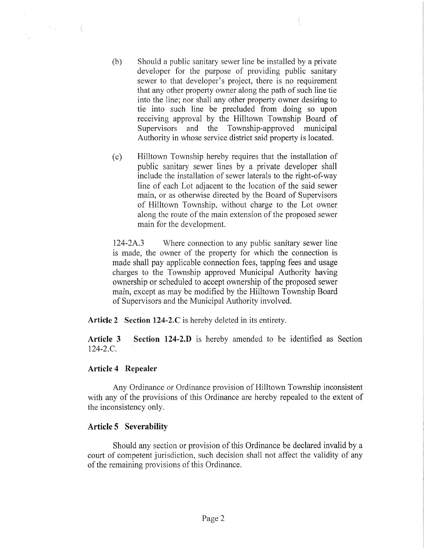- (b) Should a public sanitary sewer line be installed by a private developer for the purpose of providing public sanitary sewer to that developer's project, there is no requirement that any other property owner along the path of such line tie into the line; nor shall any other property owner desiring to tie into such line be precluded from doing so upon receiving approval by the Hilltown Township Board of Supervisors and the Township-approved municipal Authority in whose service district said property is located.
- (C) Hilltown Township hereby requires that the installation of public sanitary sewer lines by a private developer shall include the installation of sewer laterals to the right-of-way line of each Lot adjacent to the location of the said sewer main, or as otherwise directed by the Board of Supervisors of Hilltown Township, without charge to the Lot owner along the route of the main extension of the proposed sewer main for the development.

124-2A.3 Where connection to any public sanitary sewer line is made, the owner of the property for whtch the connection is made shall pay applicable connection fees, tapping fees and usage charges to the Township approved Mumcipa] Authority having ownership or scheduled to accept ownership of the proposed sewer main, except as may be modified by the Hilltown Township Board of Supervisors and the Municipal Authority involved.

Article 2 Section 124-2.C is hereby deleted in its entirety.

Article 3 Section 124-2.D is hereby amended to be identified as Section 124-2.C.

## Article 4 Repealer

 $\sim$   $\sim$ 

Any Ordinance or Ordinance provision of Hilltown Township inconsistent with any of the provisions of this Ordinance are hereby repealed to the extent of the inconsistency only.

## Article 5 Severability

Should any section or provision of this Ordinance be declared invalid by a court of competent jurisdiction, such decision shall not affect the validity of any of the remaining provisions of this Ordinance